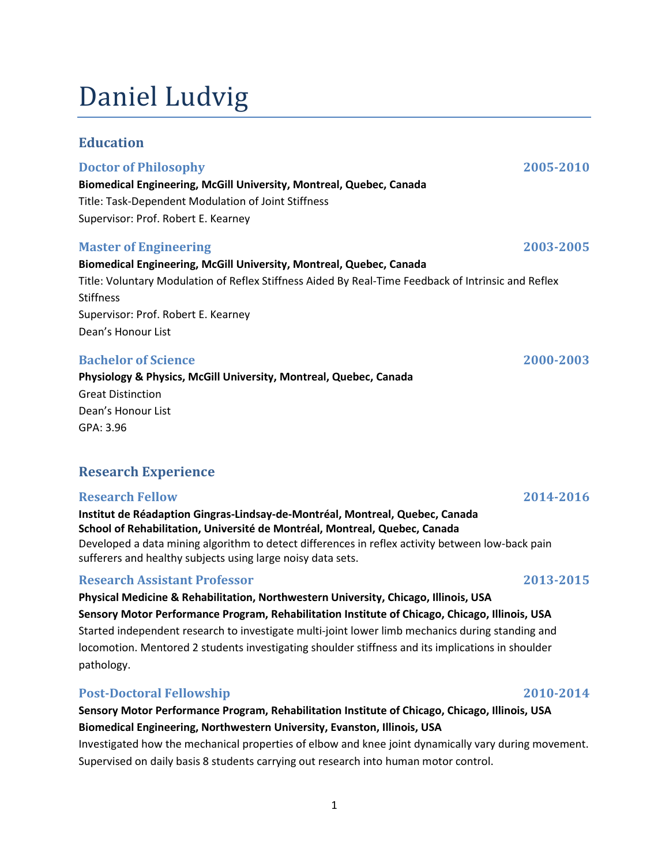# Daniel Ludvig

### Education

#### Doctor of Philosophy 2005-2010

Biomedical Engineering, McGill University, Montreal, Quebec, Canada Title: Task-Dependent Modulation of Joint Stiffness Supervisor: Prof. Robert E. Kearney

### Master of Engineering 2003-2005

# Biomedical Engineering, McGill University, Montreal, Quebec, Canada

Title: Voluntary Modulation of Reflex Stiffness Aided By Real-Time Feedback of Intrinsic and Reflex **Stiffness** Supervisor: Prof. Robert E. Kearney Dean's Honour List

# Bachelor of Science 2000-2003

Physiology & Physics, McGill University, Montreal, Quebec, Canada Great Distinction Dean's Honour List GPA: 3.96

# Research Experience

### Research Fellow 2014-2016

Institut de Réadaption Gingras‐Lindsay‐de‐Montréal, Montreal, Quebec, Canada School of Rehabilitation, Université de Montréal, Montreal, Quebec, Canada Developed a data mining algorithm to detect differences in reflex activity between low-back pain sufferers and healthy subjects using large noisy data sets.

# Research Assistant Professor 2013-2015

Physical Medicine & Rehabilitation, Northwestern University, Chicago, Illinois, USA Sensory Motor Performance Program, Rehabilitation Institute of Chicago, Chicago, Illinois, USA Started independent research to investigate multi-joint lower limb mechanics during standing and locomotion. Mentored 2 students investigating shoulder stiffness and its implications in shoulder pathology.

# Post-Doctoral Fellowship 2010-2014

Sensory Motor Performance Program, Rehabilitation Institute of Chicago, Chicago, Illinois, USA Biomedical Engineering, Northwestern University, Evanston, Illinois, USA Investigated how the mechanical properties of elbow and knee joint dynamically vary during movement.

Supervised on daily basis 8 students carrying out research into human motor control.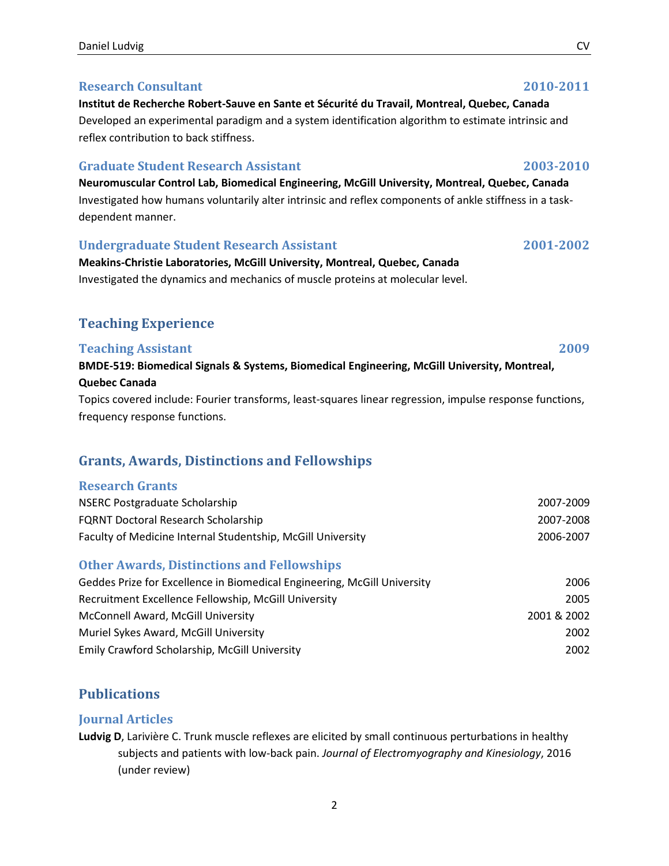#### Daniel Ludvig CV

### Research Consultant 2010-2011

Institut de Recherche Robert‐Sauve en Sante et Sécurité du Travail, Montreal, Quebec, Canada Developed an experimental paradigm and a system identification algorithm to estimate intrinsic and reflex contribution to back stiffness.

### Graduate Student Research Assistant 2003-2010

Neuromuscular Control Lab, Biomedical Engineering, McGill University, Montreal, Quebec, Canada Investigated how humans voluntarily alter intrinsic and reflex components of ankle stiffness in a taskdependent manner.

### Undergraduate Student Research Assistant 2001-2002

Meakins‐Christie Laboratories, McGill University, Montreal, Quebec, Canada Investigated the dynamics and mechanics of muscle proteins at molecular level.

# Teaching Experience

#### **Teaching Assistant** 2009 BMDE‐519: Biomedical Signals & Systems, Biomedical Engineering, McGill University, Montreal, Quebec Canada

Topics covered include: Fourier transforms, least-squares linear regression, impulse response functions, frequency response functions.

# Grants, Awards, Distinctions and Fellowships

# Research Grants

| NSERC Postgraduate Scholarship                              | 2007-2009 |
|-------------------------------------------------------------|-----------|
| <b>FQRNT Doctoral Research Scholarship</b>                  | 2007-2008 |
| Faculty of Medicine Internal Studentship, McGill University | 2006-2007 |

# Other Awards, Distinctions and Fellowships

| Geddes Prize for Excellence in Biomedical Engineering, McGill University | 2006        |
|--------------------------------------------------------------------------|-------------|
| Recruitment Excellence Fellowship, McGill University                     | 2005        |
| McConnell Award, McGill University                                       | 2001 & 2002 |
| Muriel Sykes Award, McGill University                                    | 2002        |
| Emily Crawford Scholarship, McGill University                            | 2002        |

# **Publications**

# Journal Articles

Ludvig D, Larivière C. Trunk muscle reflexes are elicited by small continuous perturbations in healthy subjects and patients with low-back pain. Journal of Electromyography and Kinesiology, 2016 (under review)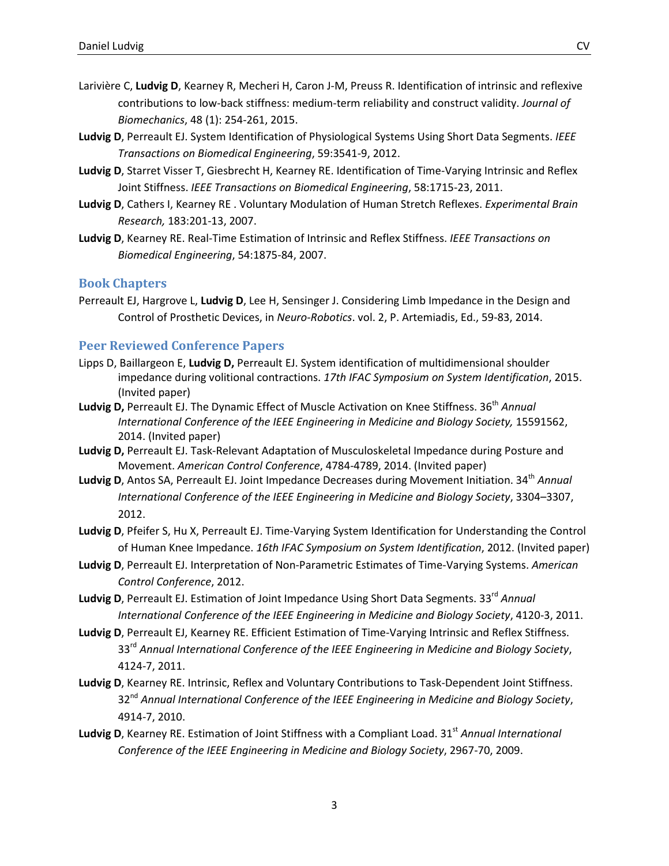- Larivière C, Ludvig D, Kearney R, Mecheri H, Caron J-M, Preuss R. Identification of intrinsic and reflexive contributions to low-back stiffness: medium-term reliability and construct validity. Journal of Biomechanics, 48 (1): 254-261, 2015.
- Ludvig D, Perreault EJ. System Identification of Physiological Systems Using Short Data Segments. IEEE Transactions on Biomedical Engineering, 59:3541-9, 2012.
- Ludvig D, Starret Visser T, Giesbrecht H, Kearney RE. Identification of Time-Varying Intrinsic and Reflex Joint Stiffness. IEEE Transactions on Biomedical Engineering, 58:1715-23, 2011.
- Ludvig D, Cathers I, Kearney RE. Voluntary Modulation of Human Stretch Reflexes. Experimental Brain Research, 183:201-13, 2007.
- Ludvig D, Kearney RE. Real-Time Estimation of Intrinsic and Reflex Stiffness. IEEE Transactions on Biomedical Engineering, 54:1875-84, 2007.

#### Book Chapters

Perreault EJ, Hargrove L, Ludvig D, Lee H, Sensinger J. Considering Limb Impedance in the Design and Control of Prosthetic Devices, in Neuro-Robotics. vol. 2, P. Artemiadis, Ed., 59-83, 2014.

#### Peer Reviewed Conference Papers

- Lipps D, Baillargeon E, Ludvig D, Perreault EJ. System identification of multidimensional shoulder impedance during volitional contractions. 17th IFAC Symposium on System Identification, 2015. (Invited paper)
- Ludvig D, Perreault EJ. The Dynamic Effect of Muscle Activation on Knee Stiffness. 36<sup>th</sup> Annual International Conference of the IEEE Engineering in Medicine and Biology Society, 15591562, 2014. (Invited paper)
- Ludvig D, Perreault EJ. Task-Relevant Adaptation of Musculoskeletal Impedance during Posture and Movement. American Control Conference, 4784-4789, 2014. (Invited paper)
- Ludvig D, Antos SA, Perreault EJ. Joint Impedance Decreases during Movement Initiation. 34<sup>th</sup> Annual International Conference of the IEEE Engineering in Medicine and Biology Society, 3304–3307, 2012.
- Ludvig D, Pfeifer S, Hu X, Perreault EJ. Time-Varying System Identification for Understanding the Control of Human Knee Impedance. 16th IFAC Symposium on System Identification, 2012. (Invited paper)
- Ludvig D, Perreault EJ. Interpretation of Non-Parametric Estimates of Time-Varying Systems. American Control Conference, 2012.
- Ludvig D, Perreault EJ. Estimation of Joint Impedance Using Short Data Segments. 33<sup>rd</sup> Annual International Conference of the IEEE Engineering in Medicine and Biology Society, 4120-3, 2011.
- Ludvig D, Perreault EJ, Kearney RE. Efficient Estimation of Time-Varying Intrinsic and Reflex Stiffness. 33<sup>rd</sup> Annual International Conference of the IEEE Engineering in Medicine and Biology Society, 4124-7, 2011.
- Ludvig D, Kearney RE. Intrinsic, Reflex and Voluntary Contributions to Task-Dependent Joint Stiffness. 32<sup>nd</sup> Annual International Conference of the IEEE Engineering in Medicine and Biology Society, 4914-7, 2010.
- Ludvig D, Kearney RE. Estimation of Joint Stiffness with a Compliant Load. 31<sup>st</sup> Annual International Conference of the IEEE Engineering in Medicine and Biology Society, 2967-70, 2009.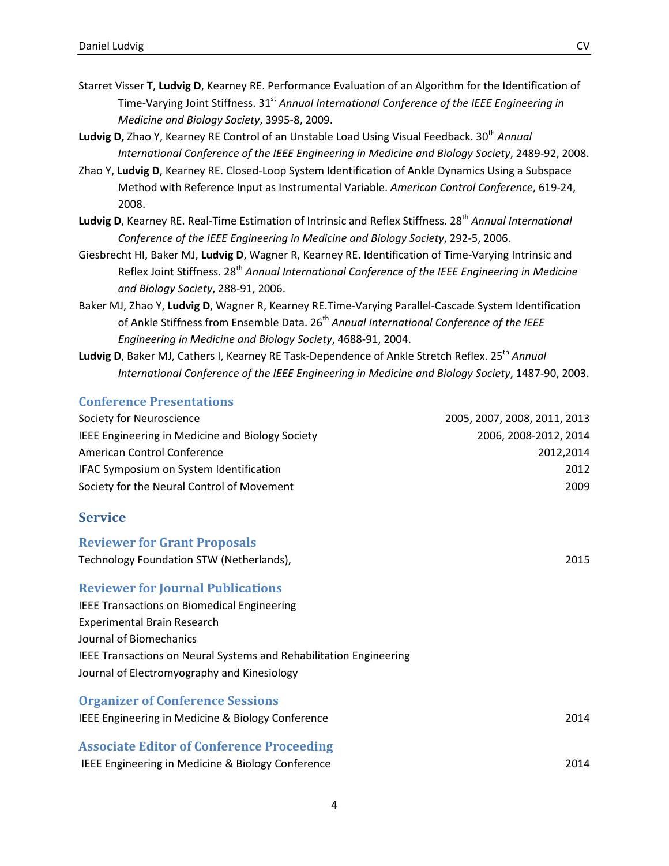- Starret Visser T, Ludvig D, Kearney RE. Performance Evaluation of an Algorithm for the Identification of Time-Varying Joint Stiffness.  $31<sup>st</sup>$  Annual International Conference of the IEEE Engineering in Medicine and Biology Society, 3995-8, 2009.
- Ludvig D, Zhao Y, Kearney RE Control of an Unstable Load Using Visual Feedback. 30<sup>th</sup> Annual International Conference of the IEEE Engineering in Medicine and Biology Society, 2489-92, 2008.
- Zhao Y, Ludvig D, Kearney RE. Closed-Loop System Identification of Ankle Dynamics Using a Subspace Method with Reference Input as Instrumental Variable. American Control Conference, 619-24, 2008.
- Ludvig D, Kearney RE. Real-Time Estimation of Intrinsic and Reflex Stiffness. 28<sup>th</sup> Annual International Conference of the IEEE Engineering in Medicine and Biology Society, 292-5, 2006.
- Giesbrecht HI, Baker MJ, Ludvig D, Wagner R, Kearney RE. Identification of Time-Varying Intrinsic and Reflex Joint Stiffness. 28<sup>th</sup> Annual International Conference of the IEEE Engineering in Medicine and Biology Society, 288-91, 2006.
- Baker MJ, Zhao Y, Ludvig D, Wagner R, Kearney RE.Time-Varying Parallel-Cascade System Identification of Ankle Stiffness from Ensemble Data. 26<sup>th</sup> Annual International Conference of the IEEE Engineering in Medicine and Biology Society, 4688-91, 2004.
- Ludvig D, Baker MJ, Cathers I, Kearney RE Task-Dependence of Ankle Stretch Reflex. 25<sup>th</sup> Annual International Conference of the IEEE Engineering in Medicine and Biology Society, 1487-90, 2003.

#### Conference Presentations

| Society for Neuroscience                         | 2005, 2007, 2008, 2011, 2013 |
|--------------------------------------------------|------------------------------|
| IEEE Engineering in Medicine and Biology Society | 2006, 2008-2012, 2014        |
| American Control Conference                      | 2012,2014                    |
| IFAC Symposium on System Identification          | 2012                         |
| Society for the Neural Control of Movement       | 2009                         |
| <b>Service</b>                                   |                              |
| <b>Reviewer for Grant Proposals</b>              |                              |
| Technology Foundation STW (Netherlands),         | 2015                         |

Reviewer for Journal Publications

IEEE Transactions on Biomedical Engineering Experimental Brain Research Journal of Biomechanics IEEE Transactions on Neural Systems and Rehabilitation Engineering Journal of Electromyography and Kinesiology

| <b>Organizer of Conference Sessions</b>           |      |
|---------------------------------------------------|------|
| IEEE Engineering in Medicine & Biology Conference | 2014 |
| <b>Associate Editor of Conference Proceeding</b>  |      |

IEEE Engineering in Medicine & Biology Conference 2014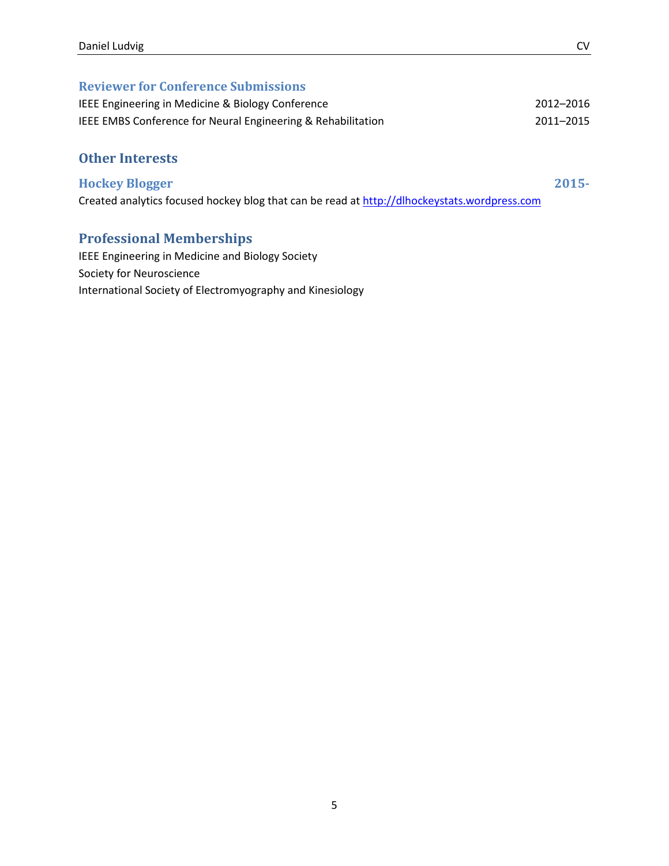#### Reviewer for Conference Submissions

| IEEE Engineering in Medicine & Biology Conference            | 2012-2016 |
|--------------------------------------------------------------|-----------|
| IEEE EMBS Conference for Neural Engineering & Rehabilitation | 2011-2015 |

#### Other Interests

#### Hockey Blogger 2015-

Created analytics focused hockey blog that can be read at http://dlhockeystats.wordpress.com

### Professional Memberships

IEEE Engineering in Medicine and Biology Society Society for Neuroscience International Society of Electromyography and Kinesiology